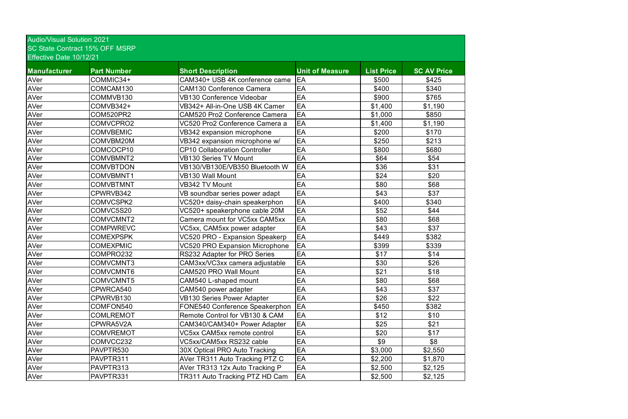| <u>99 UNIO UUNNUU TUWU TI MUNT</u><br>Effective Date 10/12/21 |                    |                                       |                        |                   |                    |  |  |  |
|---------------------------------------------------------------|--------------------|---------------------------------------|------------------------|-------------------|--------------------|--|--|--|
| Manufacturer                                                  | <b>Part Number</b> | <b>Short Description</b>              | <b>Unit of Measure</b> | <b>List Price</b> | <b>SC AV Price</b> |  |  |  |
| AVer                                                          | COMMIC34+          | CAM340+ USB 4K conference came        | EA                     | \$500             | \$425              |  |  |  |
| <b>AVer</b>                                                   | COMCAM130          | <b>CAM130 Conference Camera</b>       | EA                     | \$400             | \$340              |  |  |  |
| AVer                                                          | COMMVB130          | <b>VB130 Conference Videobar</b>      | EA                     | \$900             | \$765              |  |  |  |
| AVer                                                          | COMVB342+          | VB342+ All-in-One USB 4K Camer        | EA                     | \$1,400           | \$1,190            |  |  |  |
| <b>AVer</b>                                                   | <b>COM520PR2</b>   | <b>CAM520 Pro2 Conference Camera</b>  | EA                     | \$1,000           | \$850              |  |  |  |
| AVer                                                          | COMVCPRO2          | VC520 Pro2 Conference Camera a        | EA                     | \$1,400           | \$1,190            |  |  |  |
| <b>AVer</b>                                                   | <b>COMVBEMIC</b>   | VB342 expansion microphone            | EA                     | \$200             | \$170              |  |  |  |
| AVer                                                          | COMVBM20M          | VB342 expansion microphone w/         | EA                     | \$250             | \$213              |  |  |  |
| AVer                                                          | COMCOCP10          | <b>CP10 Collaboration Controller</b>  | EA                     | \$800             | \$680              |  |  |  |
| AVer                                                          | COMVBMNT2          | <b>VB130 Series TV Mount</b>          | EA                     | \$64              | \$54               |  |  |  |
| AVer                                                          | <b>COMVBTDON</b>   | VB130/VB130E/VB350 Bluetooth W        | EA                     | \$36              | \$31               |  |  |  |
| AVer                                                          | COMVBMNT1          | <b>VB130 Wall Mount</b>               | EA                     | \$24              | \$20               |  |  |  |
| AVer                                                          | <b>COMVBTMNT</b>   | VB342 TV Mount                        | EA                     | \$80              | \$68               |  |  |  |
| AVer                                                          | CPWRVB342          | VB soundbar series power adapt        | EA                     | \$43              | \$37               |  |  |  |
| <b>AVer</b>                                                   | COMVCSPK2          | VC520+ daisy-chain speakerphon        | EA                     | \$400             | \$340              |  |  |  |
| AVer                                                          | COMVC5S20          | VC520+ speakerphone cable 20M         | EA                     | \$52              | \$44               |  |  |  |
| AVer                                                          | COMVCMNT2          | Camera mount for VC5xx CAM5xx         | EA                     | \$80              | \$68               |  |  |  |
| AVer                                                          | <b>COMPWREVC</b>   | VC5xx, CAM5xx power adapter           | EA                     | \$43              | \$37               |  |  |  |
| AVer                                                          | <b>COMEXPSPK</b>   | <b>VC520 PRO - Expansion Speakerp</b> | EA                     | \$449             | \$382              |  |  |  |
| AVer                                                          | <b>COMEXPMIC</b>   | <b>VC520 PRO Expansion Microphone</b> | EA                     | \$399             | \$339              |  |  |  |
| AVer                                                          | COMPRO232          | RS232 Adapter for PRO Series          | EA                     | \$17              | \$14               |  |  |  |
| <b>AVer</b>                                                   | COMVCMNT3          | CAM3xx/VC3xx camera adjustable        | EA                     | \$30              | \$26               |  |  |  |
| <b>AVer</b>                                                   | COMVCMNT6          | <b>CAM520 PRO Wall Mount</b>          | EA                     | \$21              | \$18               |  |  |  |
| AVer                                                          | COMVCMNT5          | CAM540 L-shaped mount                 | EA                     | \$80              | \$68               |  |  |  |
| AVer                                                          | CPWRCA540          | CAM540 power adapter                  | EA                     | \$43              | \$37               |  |  |  |
| AVer                                                          | CPWRVB130          | <b>VB130 Series Power Adapter</b>     | EA                     | \$26              | \$22               |  |  |  |
| AVer                                                          | COMFON540          | FONE540 Conference Speakerphon        | EA                     | \$450             | \$382              |  |  |  |
| AVer                                                          | <b>COMLREMOT</b>   | Remote Control for VB130 & CAM        | EA                     | \$12              | \$10               |  |  |  |
| AVer                                                          | CPWRA5V2A          | CAM340/CAM340+ Power Adapter          | EA                     | \$25              | \$21               |  |  |  |
| AVer                                                          | <b>COMVREMOT</b>   | <b>VC5xx CAM5xx remote control</b>    | EA                     | \$20              | \$17               |  |  |  |
| AVer                                                          | COMVCC232          | VC5xx/CAM5xx RS232 cable              | EA                     | \$9               | \$8                |  |  |  |
| AVer                                                          | PAVPTR530          | 30X Optical PRO Auto Tracking         | EA                     | \$3,000           | \$2,550            |  |  |  |
| AVer                                                          | PAVPTR311          | AVer TR311 Auto Tracking PTZ C        | EA                     | \$2,200           | \$1,870            |  |  |  |
| AVer                                                          | PAVPTR313          | AVer TR313 12x Auto Tracking P        | EA                     | \$2,500           | \$2,125            |  |  |  |
| <b>AVer</b>                                                   | PAVPTR331          | TR311 Auto Tracking PTZ HD Cam        | EA                     | \$2,500           | \$2,125            |  |  |  |

Audio/Visual Solution 2021 SC State Contract 15% OFF MSRP